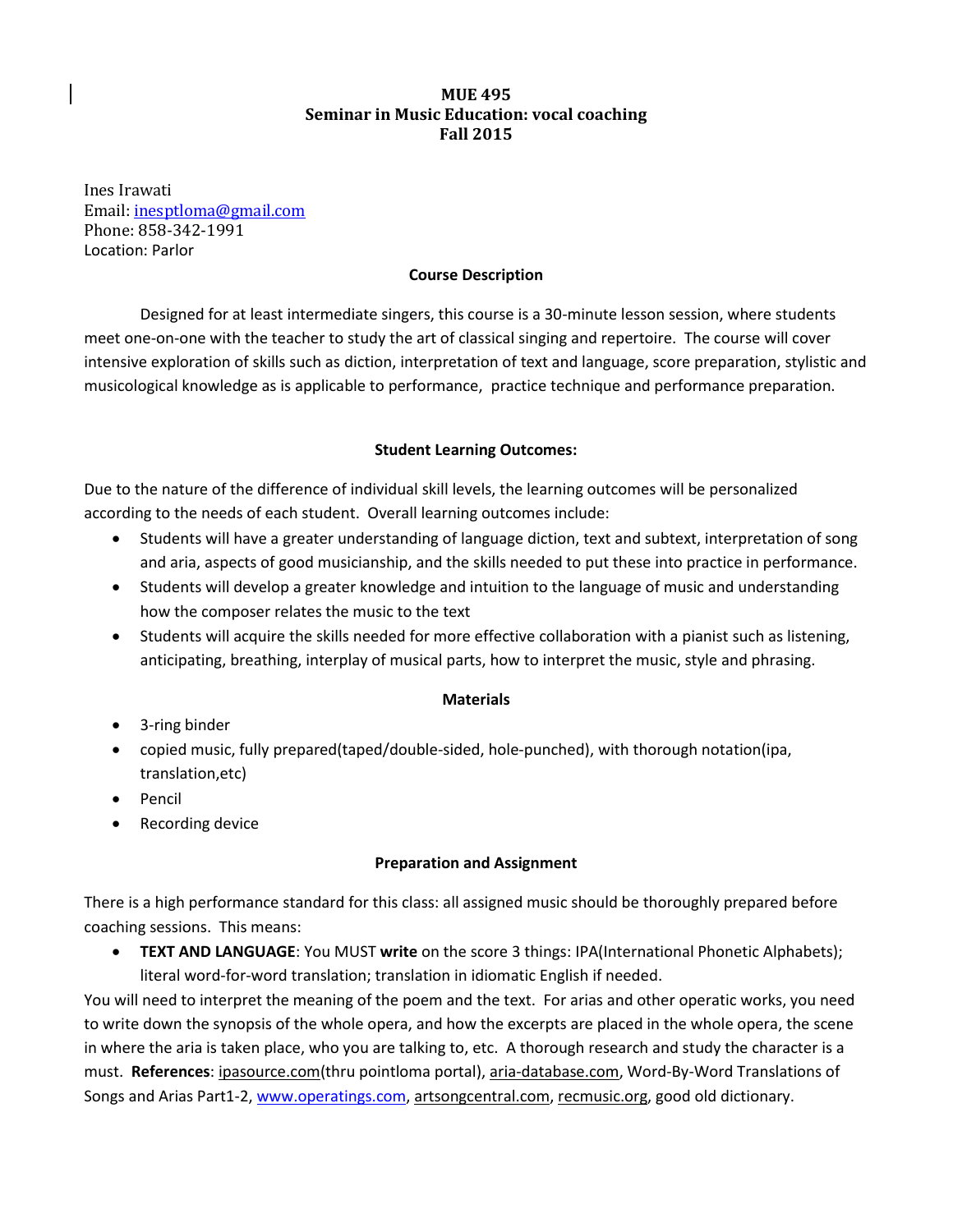# **MUE 495 Seminar in Music Education: vocal coaching Fall 2015**

Ines Irawati Email: [inesptloma@gmail.com](mailto:inesptloma@gmail.com) Phone: 858-342-1991 Location: Parlor

### **Course Description**

Designed for at least intermediate singers, this course is a 30-minute lesson session, where students meet one-on-one with the teacher to study the art of classical singing and repertoire. The course will cover intensive exploration of skills such as diction, interpretation of text and language, score preparation, stylistic and musicological knowledge as is applicable to performance, practice technique and performance preparation.

## **Student Learning Outcomes:**

Due to the nature of the difference of individual skill levels, the learning outcomes will be personalized according to the needs of each student. Overall learning outcomes include:

- Students will have a greater understanding of language diction, text and subtext, interpretation of song and aria, aspects of good musicianship, and the skills needed to put these into practice in performance.
- Students will develop a greater knowledge and intuition to the language of music and understanding how the composer relates the music to the text
- Students will acquire the skills needed for more effective collaboration with a pianist such as listening, anticipating, breathing, interplay of musical parts, how to interpret the music, style and phrasing.

#### **Materials**

- 3-ring binder
- copied music, fully prepared(taped/double-sided, hole-punched), with thorough notation(ipa, translation,etc)
- Pencil
- Recording device

#### **Preparation and Assignment**

There is a high performance standard for this class: all assigned music should be thoroughly prepared before coaching sessions. This means:

 **TEXT AND LANGUAGE**: You MUST **write** on the score 3 things: IPA(International Phonetic Alphabets); literal word-for-word translation; translation in idiomatic English if needed.

You will need to interpret the meaning of the poem and the text. For arias and other operatic works, you need to write down the synopsis of the whole opera, and how the excerpts are placed in the whole opera, the scene in where the aria is taken place, who you are talking to, etc. A thorough research and study the character is a must. **References**: ipasource.com(thru pointloma portal), aria-database.com, Word-By-Word Translations of Songs and Arias Part1-2, [www.operatings.com,](http://www.operatings.com/) artsongcentral.com, recmusic.org, good old dictionary.